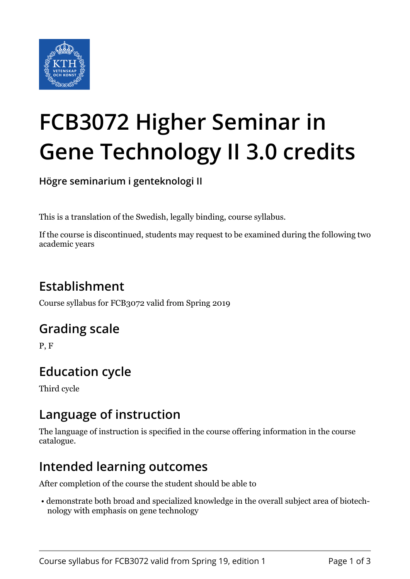

# **FCB3072 Higher Seminar in Gene Technology II 3.0 credits**

**Högre seminarium i genteknologi II**

This is a translation of the Swedish, legally binding, course syllabus.

If the course is discontinued, students may request to be examined during the following two academic years

## **Establishment**

Course syllabus for FCB3072 valid from Spring 2019

#### **Grading scale**

P, F

## **Education cycle**

Third cycle

#### **Language of instruction**

The language of instruction is specified in the course offering information in the course catalogue.

#### **Intended learning outcomes**

After completion of the course the student should be able to

 • demonstrate both broad and specialized knowledge in the overall subject area of biotechnology with emphasis on gene technology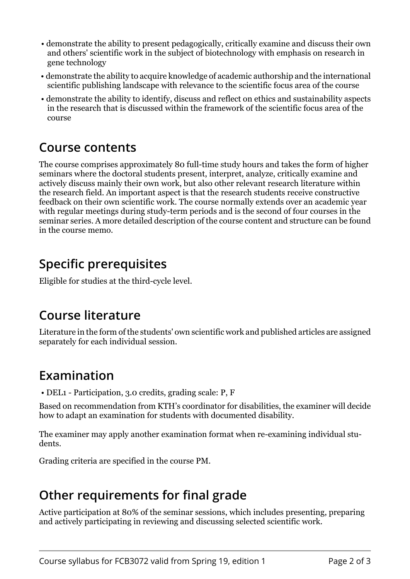- demonstrate the ability to present pedagogically, critically examine and discuss their own and others' scientific work in the subject of biotechnology with emphasis on research in gene technology
- demonstrate the ability to acquire knowledge of academic authorship and the international scientific publishing landscape with relevance to the scientific focus area of the course
- demonstrate the ability to identify, discuss and reflect on ethics and sustainability aspects in the research that is discussed within the framework of the scientific focus area of the course

#### **Course contents**

The course comprises approximately 80 full-time study hours and takes the form of higher seminars where the doctoral students present, interpret, analyze, critically examine and actively discuss mainly their own work, but also other relevant research literature within the research field. An important aspect is that the research students receive constructive feedback on their own scientific work. The course normally extends over an academic year with regular meetings during study-term periods and is the second of four courses in the seminar series. A more detailed description of the course content and structure can be found in the course memo.

### **Specific prerequisites**

Eligible for studies at the third-cycle level.

#### **Course literature**

Literature in the form of the students' own scientific work and published articles are assigned separately for each individual session.

## **Examination**

• DEL1 - Participation, 3.0 credits, grading scale: P, F

Based on recommendation from KTH's coordinator for disabilities, the examiner will decide how to adapt an examination for students with documented disability.

The examiner may apply another examination format when re-examining individual students.

Grading criteria are specified in the course PM.

# **Other requirements for final grade**

Active participation at 80% of the seminar sessions, which includes presenting, preparing and actively participating in reviewing and discussing selected scientific work.